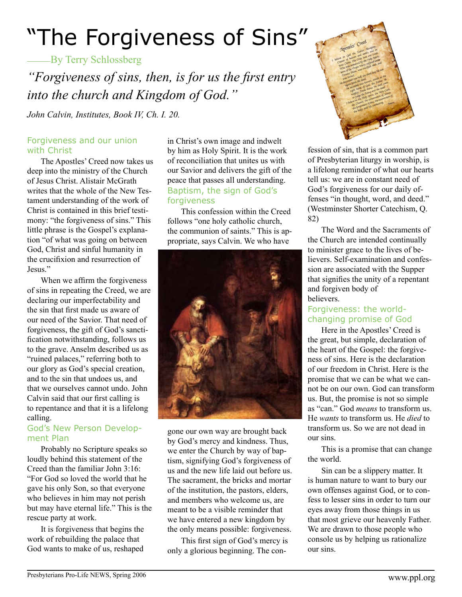# "The Forgiveness of Sins"

**By Terry Schlossberg** 

*"Forgiveness of sins, then, is for us the first entry into the church and Kingdom of God."*

*John Calvin, Institutes, Book IV, Ch. I. 20.*

#### Forgiveness and our union with Christ

The Apostles' Creed now takes us deep into the ministry of the Church of Jesus Christ. Alistair McGrath writes that the whole of the New Testament understanding of the work of Christ is contained in this brief testimony: "the forgiveness of sins." This little phrase is the Gospel's explanation "of what was going on between God, Christ and sinful humanity in the crucifixion and resurrection of Jesus<sup>"</sup>

When we affirm the forgiveness of sins in repeating the Creed, we are declaring our imperfectability and the sin that first made us aware of our need of the Savior. That need of forgiveness, the gift of God's sanctification notwithstanding, follows us to the grave. Anselm described us as "ruined palaces," referring both to our glory as God's special creation, and to the sin that undoes us, and that we ourselves cannot undo. John Calvin said that our first calling is to repentance and that it is a lifelong calling.

#### God's New Person Development Plan

Probably no Scripture speaks so loudly behind this statement of the Creed than the familiar John 3:16: "For God so loved the world that he gave his only Son, so that everyone who believes in him may not perish but may have eternal life." This is the rescue party at work.

It is forgiveness that begins the work of rebuilding the palace that God wants to make of us, reshaped

in Christ's own image and indwelt by him as Holy Spirit. It is the work of reconciliation that unites us with our Savior and delivers the gift of the peace that passes all understanding. Baptism, the sign of God's forgiveness

This confession within the Creed follows "one holy catholic church, the communion of saints." This is appropriate, says Calvin. We who have



gone our own way are brought back by God's mercy and kindness. Thus, we enter the Church by way of baptism, signifying God's forgiveness of us and the new life laid out before us. The sacrament, the bricks and mortar of the institution, the pastors, elders, and members who welcome us, are meant to be a visible reminder that we have entered a new kingdom by the only means possible: forgiveness.

This first sign of God's mercy is only a glorious beginning. The con-



fession of sin, that is a common part of Presbyterian liturgy in worship, is a lifelong reminder of what our hearts tell us: we are in constant need of God's forgiveness for our daily offenses "in thought, word, and deed." (Westminster Shorter Catechism, Q. 82)

The Word and the Sacraments of the Church are intended continually to minister grace to the lives of believers. Self-examination and confession are associated with the Supper that signifies the unity of a repentant and forgiven body of believers.

### Forgiveness: the worldchanging promise of God

Here in the Apostles' Creed is the great, but simple, declaration of the heart of the Gospel: the forgiveness of sins. Here is the declaration of our freedom in Christ. Here is the promise that we can be what we cannot be on our own. God can transform us. But, the promise is not so simple as "can." God *means* to transform us. He *wants* to transform us. He *died* to transform us. So we are not dead in our sins.

This is a promise that can change the world.

Sin can be a slippery matter. It is human nature to want to bury our own offenses against God, or to confess to lesser sins in order to turn our eyes away from those things in us that most grieve our heavenly Father. We are drawn to those people who console us by helping us rationalize our sins.